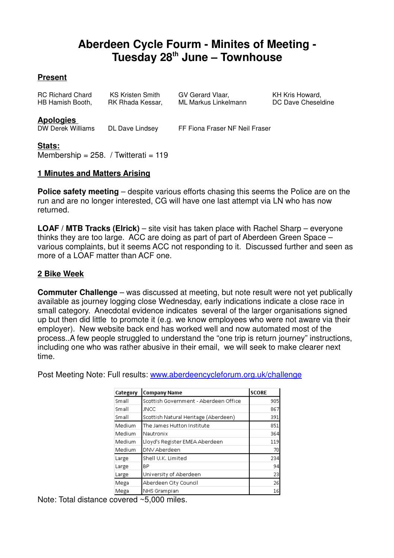# **Aberdeen Cycle Fourm - Minites of Meeting - Tuesday 28th June – Townhouse**

# **Present**

| <b>RC Richard Chard</b> | KS Kristen Smith |
|-------------------------|------------------|
| HB Hamish Booth,        | RK Rhada Kessar, |

GV Gerard Vlaar, KH Kris Howard, ML Markus Linkelmann DC Dave Cheseldine

**Apologies** 

DL Dave Lindsey FF Fiona Fraser NF Neil Fraser

## **Stats:**

Membership =  $258.$  / Twitterati =  $119$ 

# **1 Minutes and Matters Arising**

**Police safety meeting** – despite various efforts chasing this seems the Police are on the run and are no longer interested, CG will have one last attempt via LN who has now returned.

**LOAF / MTB Tracks (Elrick)** – site visit has taken place with Rachel Sharp – everyone thinks they are too large. ACC are doing as part of part of Aberdeen Green Space – various complaints, but it seems ACC not responding to it. Discussed further and seen as more of a LOAF matter than ACF one.

# **2 Bike Week**

**Commuter Challenge** – was discussed at meeting, but note result were not yet publically available as journey logging close Wednesday, early indications indicate a close race in small category. Anecdotal evidence indicates several of the larger organisations signed up but then did little to promote it (e.g. we know employees who were not aware via their employer). New website back end has worked well and now automated most of the process..A few people struggled to understand the "one trip is return journey" instructions, including one who was rather abusive in their email, we will seek to make clearer next time.

Post Meeting Note: Full results: www.aberdeencycleforum.org.uk/challenge

| Category | <b>Company Name</b>                   | <b>SCORE</b> |
|----------|---------------------------------------|--------------|
| Small    | Scottish Government - Aberdeen Office | 905          |
| Small    | <b>JNCC</b>                           | 867          |
| Small    | Scottish Natural Heritage (Aberdeen)  | 391          |
| Medium   | The James Hutton Institute            | 851          |
| Medium   | Nautronix                             | 364          |
| Medium   | Lloyd's Register EMEA Aberdeen        | 119          |
| Medium   | DNV Aberdeen                          | 70           |
| Large    | Shell U.K. Limited                    | 234          |
| Large    | BP                                    | 94           |
| Large    | University of Aberdeen                | 23           |
| Mega     | Aberdeen City Council                 | 26           |
| Mega     | NHS Grampian                          | 16           |

Note: Total distance covered ~5,000 miles.